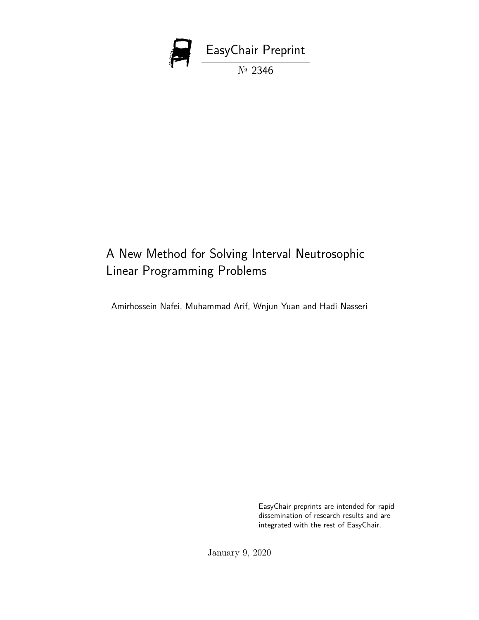

# A New Method for Solving Interval Neutrosophic Linear Programming Problems

Amirhossein Nafei, Muhammad Arif, Wnjun Yuan and Hadi Nasseri

EasyChair preprints are intended for rapid dissemination of research results and are integrated with the rest of EasyChair.

January 9, 2020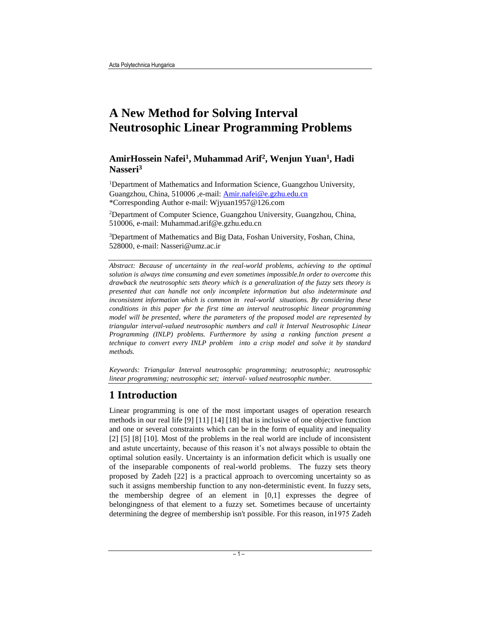## **A New Method for Solving Interval Neutrosophic Linear Programming Problems**

**AmirHossein Nafei<sup>1</sup> , Muhammad Arif<sup>2</sup> , Wenjun Yuan<sup>1</sup> , Hadi Nasseri<sup>3</sup>**

<sup>1</sup>Department of Mathematics and Information Science, Guangzhou University, Guangzhou, China, 510006 ,e-mail: [Amir.nafei@e.gzhu.edu.cn](mailto:Amir.nafei@e.gzhu.edu.cn) \*Corresponding Author e-mail: Wjyuan1957@126.com

<sup>2</sup>Department of Computer Science, Guangzhou University, Guangzhou, China, 510006, e-mail: Muhammad.arif@e.gzhu.edu.cn

<sup>3</sup>Department of Mathematics and Big Data, Foshan University, Foshan, China, 528000, e-mail: Nasseri@umz.ac.ir

*Abstract: Because of uncertainty in the real-world problems, achieving to the optimal solution is always time consuming and even sometimes impossible.In order to overcome this drawback the neutrosophic sets theory which is a generalization of the fuzzy sets theory is presented that can handle not only incomplete information but also indeterminate and inconsistent information which is common in real-world situations. By considering these conditions in this paper for the first time an interval neutrosophic linear programming model will be presented, where the parameters of the proposed model are represented by triangular interval-valued neutrosophic numbers and call it Interval Neutrosophic Linear Programming (INLP) problems. Furthermore by using a ranking function present a technique to convert every INLP problem into a crisp model and solve it by standard methods.*

*Keywords: Triangular Interval neutrosophic programming; neutrosophic; neutrosophic linear programming; neutrosophic set; interval- valued neutrosophic number.*

### **1 Introduction**

Linear programming is one of the most important usages of operation research methods in our real life [9] [11] [14] [18] that is inclusive of one objective function and one or several constraints which can be in the form of equality and inequality [2] [5] [8] [10]. Most of the problems in the real world are include of inconsistent and astute uncertainty, because of this reason it's not always possible to obtain the optimal solution easily. Uncertainty is an information deficit which is usually one of the inseparable components of real-world problems. The fuzzy sets theory proposed by Zadeh [22] is a practical approach to overcoming uncertainty so as such it assigns membership function to any non-deterministic event. In fuzzy sets, the membership degree of an element in [0,1] expresses the degree of belongingness of that element to a fuzzy set. Sometimes because of uncertainty determining the degree of membership isn't possible. For this reason, in1975 Zadeh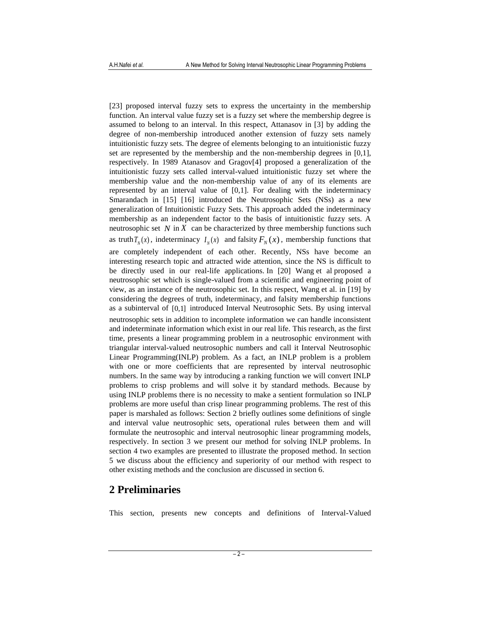[23] proposed interval fuzzy sets to express the uncertainty in the membership function. An interval value fuzzy set is a fuzzy set where the membership degree is assumed to belong to an interval. In this respect, Attanasov in [3] by adding the degree of non-membership introduced another extension of fuzzy sets namely intuitionistic fuzzy sets. The degree of elements belonging to an intuitionistic fuzzy set are represented by the membership and the non-membership degrees in [0,1], respectively. In 1989 Atanasov and Gragov[4] proposed a generalization of the intuitionistic fuzzy sets called interval-valued intuitionistic fuzzy set where the membership value and the non-membership value of any of its elements are represented by an interval value of [0,1]. For dealing with the indeterminacy Smarandach in [15] [16] introduced the Neutrosophic Sets (NSs) as a new generalization of Intuitionistic Fuzzy Sets. This approach added the indeterminacy membership as an independent factor to the basis of intuitionistic fuzzy sets. A neutrosophic set  $N$  in  $X$  can be characterized by three membership functions such as truth  $T_{N}(x)$ , indeterminacy  $I_{N}(x)$  and falsity  $F_{N}(x)$ , membership functions that are completely independent of each other. Recently, NSs have become an interesting research topic and attracted wide attention, since the NS is difficult to be directly used in our real-life applications. In [20] Wang et al proposed a neutrosophic set which is single-valued from a scientific and engineering point of view, as an instance of the neutrosophic set. In this respect, Wang et al. in [19] by considering the degrees of truth, indeterminacy, and falsity membership functions as a subinterval of [0,1] introduced Interval Neutrosophic Sets. By using interval neutrosophic sets in addition to incomplete information we can handle inconsistent and indeterminate information which exist in our real life. This research, as the first time, presents a linear programming problem in a neutrosophic environment with triangular interval-valued neutrosophic numbers and call it Interval Neutrosophic Linear Programming(INLP) problem. As a fact, an INLP problem is a problem with one or more coefficients that are represented by interval neutrosophic numbers. In the same way by introducing a ranking function we will convert INLP problems to crisp problems and will solve it by standard methods. Because by using INLP problems there is no necessity to make a sentient formulation so INLP problems are more useful than crisp linear programming problems. The rest of this paper is marshaled as follows: Section 2 briefly outlines some definitions of single and interval value neutrosophic sets, operational rules between them and will formulate the neutrosophic and interval neutrosophic linear programming models, respectively. In section 3 we present our method for solving INLP problems. In section 4 two examples are presented to illustrate the proposed method. In section 5 we discuss about the efficiency and superiority of our method with respect to other existing methods and the conclusion are discussed in section 6.

### **2 Preliminaries**

This section, presents new concepts and definitions of Interval-Valued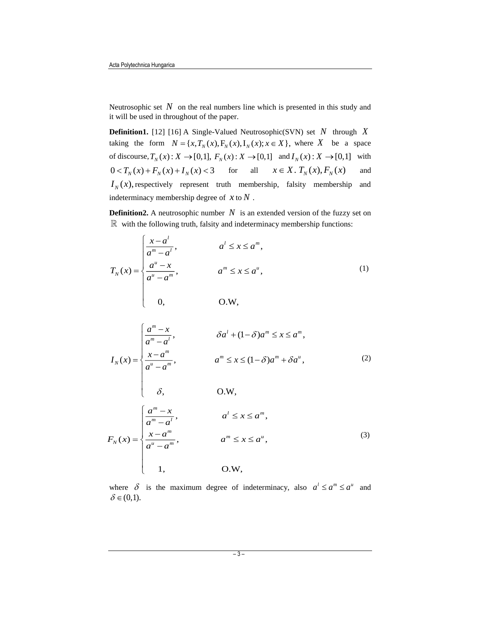Neutrosophic set  $N$  on the real numbers line which is presented in this study and it will be used in throughout of the paper.

**Definition1.** [12] [16] A Single-Valued Neutrosophic(SVN) set *N* through *X* taking the form  $N = \{x, T_N(x), F_N(x), I_N(x); x \in X\}$ , where X be a space of discourse,  $T_N(x)$ :  $X \to [0,1]$ ,  $F_N(x)$ :  $X \to [0,1]$  and  $I_N(x)$ :  $X \to [0,1]$  with  $0 < T_N(x) + F_N(x) + I_N(x) < 3$  for all  $x \in X$ .  $T_N(x)$ ,  $F_N(x)$ and  $I_N(x)$ , respectively represent truth membership, falsity membership and indeterminacy membership degree of *x* to *N* .

**Definition2.** A neutrosophic number  $N$  is an extended version of the fuzzy set on  $\mathbb R$  with the following truth, falsity and indeterminacy membership functions:

$$
T_N(x) = \begin{cases} \frac{x-a^l}{a^m - a^l}, & a^l \le x \le a^m, \\ \frac{a^u - x}{a^u - a^m}, & a^m \le x \le a^u, \\ 0, & \text{O.W.} \end{cases}
$$
(1)

$$
I_N(x) = \begin{cases} \frac{a^m - x}{a^m - a^l}, & \delta a^l + (1 - \delta)a^m \le x \le a^m, \\ \frac{x - a^m}{a^u - a^m}, & a^m \le x \le (1 - \delta)a^m + \delta a^u, \end{cases}
$$
(2)

, O.W,

 $\delta$ ,

l

$$
F_N(x) = \begin{cases} \frac{a^m - x}{a^m - a^l}, & a^l \le x \le a^m, \\ \frac{x - a^m}{a^u - a^m}, & a^m \le x \le a^u, \\ 1, & \text{O.W}, \end{cases}
$$
(3)

where  $\delta$  is the maximum degree of indeterminacy, also  $a^{l} \le a^{m} \le a^{u}$  and  $\delta \in (0,1)$ .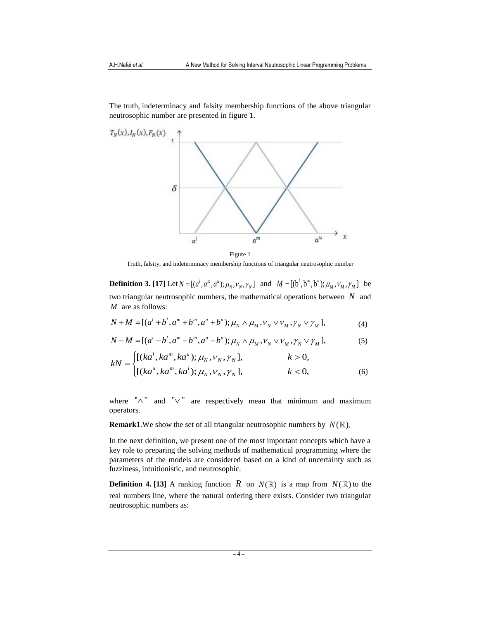The truth, indeterminacy and falsity membership functions of the above triangular neutrosophic number are presented in figure 1.



Truth, falsity, and indeterminacy membership functions of triangular neutrosophic number

**Definition 3.** [17] Let  $N = [(a^l, a^m, a^u); \mu_N, \nu_N, \gamma_N]$  and  $M = [(b^l, b^m, b^u); \mu_M, \nu_M, \gamma_M]$  be two triangular neutrosophic numbers, the mathematical operations between *N* and *M* are as follows:

$$
N + M = [(al + bl, am + bm, au + bu); \mu_N \wedge \mu_M, \nu_N \vee \nu_M, \gamma_N \vee \gamma_M],
$$
 (4)

$$
N - M = [(a^{l} - b^{l}, a^{m} - b^{m}, a^{u} - b^{u}); \mu_{N} \wedge \mu_{M}, \nu_{N} \vee \nu_{M}, \gamma_{N} \vee \gamma_{M}],
$$
 (5)

$$
kN = \begin{cases} [(ka^{l}, ka^{m}, ka^{u}); \mu_{N}, \nu_{N}, \gamma_{N}], & k > 0, \\ [(ka^{u}, ka^{m}, ka^{l}); \mu_{N}, \nu_{N}, \gamma_{N}], & k < 0, \end{cases}
$$
(6)

where " $\wedge$ " and " $\vee$ " are respectively mean that minimum and maximum operators.

**Remark1**. We show the set of all triangular neutrosophic numbers by  $N(\mathbb{R})$ .

In the next definition, we present one of the most important concepts which have a key role to preparing the solving methods of mathematical programming where the parameters of the models are considered based on a kind of uncertainty such as fuzziness, intuitionistic, and neutrosophic.

**Definition 4. [13]** A ranking function R on  $N(\mathbb{R})$  is a map from  $N(\mathbb{R})$  to the real numbers line, where the natural ordering there exists. Consider two triangular neutrosophic numbers as: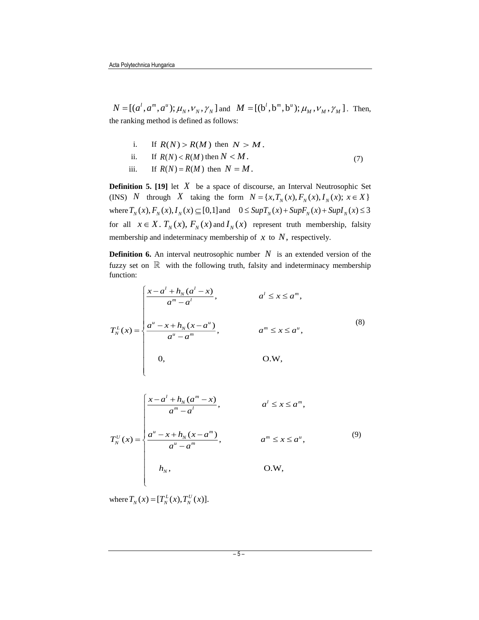$N = [(a^l, a^m, a^u); \mu_N, \nu_N, \gamma_N]$  and  $M = [(b^l, b^m, b^u); \mu_M, \nu_M, \gamma_M]$ . Then, the ranking method is defined as follows:

\n- i. If 
$$
R(N) > R(M)
$$
 then  $N > M$ .
\n- ii. If  $R(N) < R(M)$  then  $N < M$ .
\n- iii. If  $R(N) = R(M)$  then  $N = M$ .
\n

**Definition 5. [19]** let X be a space of discourse, an Interval Neutrosophic Set (INS) N through X taking the form  $N = \{x, T_N(x), F_N(x), I_N(x); x \in X\}$ where  $T_N(x)$ ,  $F_N(x)$ ,  $I_N(x) \subseteq [0,1]$  and  $0 \leq \text{Sup } T_N(x) + \text{Sup } F_N(x) + \text{Sup } I_N(x) \leq 3$ for all  $x \in X$ .  $T_N(x)$ ,  $F_N(x)$  and  $I_N(x)$  represent truth membership, falsity membership and indeterminacy membership of  $x$  to  $N$ , respectively.

**Definition 6.** An interval neutrosophic number N is an extended version of the fuzzy set on  $\mathbb R$  with the following truth, falsity and indeterminacy membership function:

$$
T_{N}^{L}(x) = \begin{cases} \frac{x - a^{l} + h_{N}(a^{l} - x)}{a^{m} - a^{l}}, & a^{l} \leq x \leq a^{m}, \\ a^{u} - x + h_{N}(x - a^{u}) \\ a^{u} - a^{m}, & a^{m} \leq x \leq a^{u}, \\ 0, & \text{O.W,} \end{cases}
$$
(8)

$$
T_{N}^{U}(x) = \begin{cases} \frac{x - a^{l} + h_{N}(a^{m} - x)}{a^{m} - a^{l}}, & a^{l} \leq x \leq a^{m}, \\ \frac{a^{u} - x + h_{N}(x - a^{m})}{a^{u} - a^{m}}, & a^{m} \leq x \leq a^{u}, \\ h_{N}, & \text{O.W,} \end{cases}
$$
(9)

where  $T_N(x) = [T_N^L(x), T_N^U(x)]$ .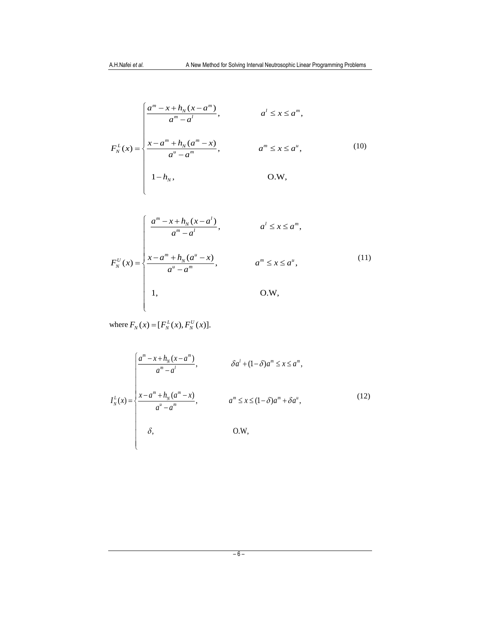$$
F_{N}^{L}(x) = \begin{cases} \frac{a^{m} - x + h_{N}(x - a^{m})}{a^{m} - a^{l}}, & a^{l} \leq x \leq a^{m}, \\ x - a^{m} + h_{N}(a^{m} - x), & a^{m} \leq x \leq a^{u}, \\ a^{u} - a^{m}, & a^{m} \leq x \leq a^{u}, \\ 1 - h_{N}, & \text{O.W,} \end{cases}
$$
(10)

$$
F_N^U(x) = \begin{cases} \frac{a^m - x + h_N(x - a^l)}{a^m - a^l}, & a^l \le x \le a^m, \\ \frac{x - a^m + h_N(a^u - x)}{a^u - a^m}, & a^m \le x \le a^u, \\ 1, & \text{O.W,} \end{cases}
$$
(11)

where  $F_N(x) = [F_N^L(x), F_N^U(x)]$ .

$$
I_N^L(x) = \begin{cases} \frac{a^m - x + h_N(x - a^m)}{a^m - a^l}, & \delta a^l + (1 - \delta)a^m \le x \le a^m, \\ x - a^m + h_N(a^m - x), \\ a^u - a^m, & a^m \le x \le (1 - \delta)a^m + \delta a^u, \\ \delta, & \text{O.W}, \end{cases}
$$
(12)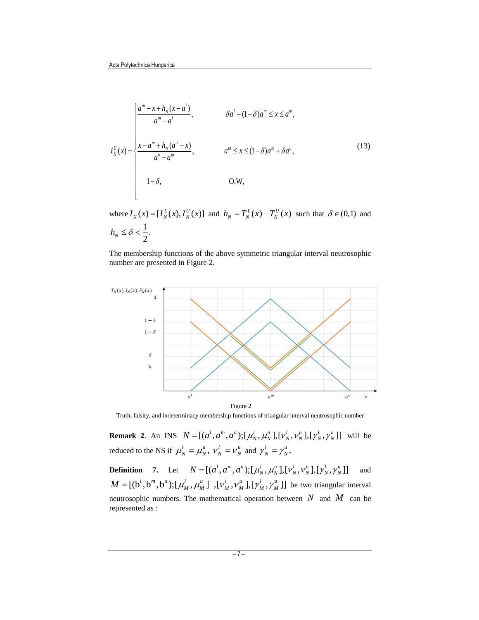$$
I_N^U(x) = \begin{cases} \frac{a^m - x + h_N(x - a^l)}{a^m - a^l}, & \delta a^l + (1 - \delta)a^m \le x \le a^m, \\ x - a^m + h_N(a^u - x), & a^m \le x \le (1 - \delta)a^m + \delta a^u, \\ a^u - a^m & \text{O.W.} \end{cases}
$$
(13)

where  $I_N(x) = [I_N^L(x), I_N^U(x)]$  and  $h_N = T_N^L(x) - T_N^U(x)$  such that  $\delta \in (0,1)$  and  $h_N \leq \delta < \frac{1}{2}.$ 

The membership functions of the above symmetric triangular interval neutrosophic number are presented in Figure 2.



Truth, falsity, and indeterminacy membership functions of triangular interval neutrosophic number

**Remark 2.** An INS  $N = [(a^l, a^m, a^u); [\mu_N^l, \mu_N^u], [\nu_N^l, \nu_N^u], [\gamma_N^l, \gamma_N^u]]$  will be reduced to the NS if  $\mu_N^l = \mu_N^u$ ,  $v_N^l = v_N^u$  and  $\gamma_N^l = \gamma_N^u$ .

**Definition** 7. Let  $N = [a^l, a^m, a^u); [ \mu_N^l, \mu_N^u], [\nu_N^l, \nu_N^u], [\gamma_N^l, \gamma_N^u] ]$ and  $M = [(b^l, b^m, b^u); [\mu_M^l, \mu_M^u] , [\nu_M^l, \nu_M^u], [\gamma_M^l, \gamma_M^u]]$  be two triangular interval neutrosophic numbers. The mathematical operation between  $N$  and  $M$  can be represented as :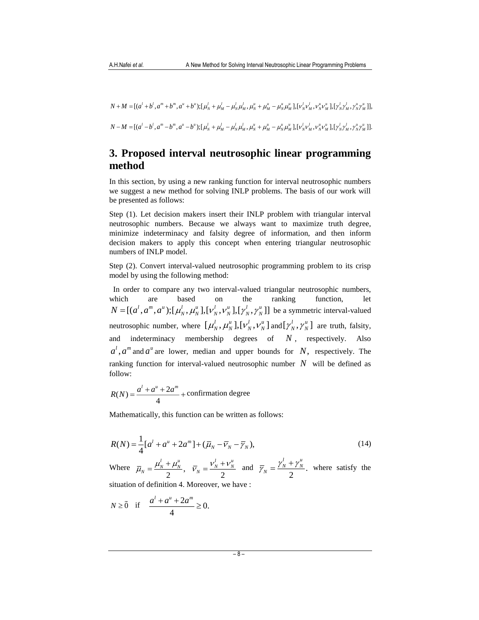$N+M=[(a^l+b^l,a^m+b^m,a^u+b^u);[\mu^l_{N}+\mu^l_{M}-\mu^l_{N}\mu^l_{M},\mu^u_{N}+\mu^u_{M}-\mu^u_{N}\mu^u_{M}],[v^l_{N}v^l_{M},v^u_{N}v^u_{M}],[\gamma^l_{N}v^l_{M},\gamma^u_{N}v^u_{M}]],$  $N-M=[(a^{l}-b^{l}, a^{m}-b^{m}, a^{u}-b^{u}); [\mu_{N}^{l}+\mu_{M}^{l}-\mu_{N}^{l}\mu_{M}^{l}, \mu_{N}^{u}+\mu_{M}^{u}-\mu_{N}^{u}\mu_{M}^{u}], [\nu_{N}^{l}\nu_{M}^{l}, \nu_{N}^{u}\nu_{M}^{u}], [\gamma_{N}^{l}\gamma_{N}^{l}, \gamma_{N}^{u}\gamma_{M}^{u}]]$ 

### **3. Proposed interval neutrosophic linear programming method**

In this section, by using a new ranking function for interval neutrosophic numbers we suggest a new method for solving INLP problems. The basis of our work will be presented as follows:

Step (1). Let decision makers insert their INLP problem with triangular interval neutrosophic numbers. Because we always want to maximize truth degree, minimize indeterminacy and falsity degree of information, and then inform decision makers to apply this concept when entering triangular neutrosophic numbers of INLP model.

Step (2). Convert interval-valued neutrosophic programming problem to its crisp model by using the following method:

 In order to compare any two interval-valued triangular neutrosophic numbers, which are based on the ranking function, let  $N = [(a^l, a^m, a^u); [\mu_N^l, \mu_N^u], [\nu_N^l, \nu_N^u], [\gamma_N^l, \gamma_N^u]]$  be a symmetric interval-valued neutrosophic number, where  $[\mu_N^l, \mu_N^u], [\nu_N^l, \nu_N^u]$  and  $[\gamma_N^l, \gamma_N^u]$  are truth, falsity, and indeterminacy membership degrees of *N* , respectively. Also  $a^{l}$ ,  $a^{m}$  and  $a^{u}$  are lower, median and upper bounds for N, respectively. The ranking function for interval-valued neutrosophic number *N* will be defined as follow:

$$
R(N) = \frac{a^l + a^u + 2a^m}{4} + \text{conformation degree}
$$

Mathematically, this function can be written as follows:

$$
R(N) = \frac{1}{4} [a^{l} + a^{u} + 2a^{m}] + (\overline{\mu}_{N} - \overline{\nu}_{N} - \overline{\gamma}_{N}),
$$
\n(14)

Where  $\bar{\mu}_N = \frac{\mu_N + \mu_N}{2}$ ,  $\bar{\mu}_N = \frac{\mu_N^l + \mu_N^u}{2}, \quad \bar{v}_N = \frac{\nu_N^l + 2}{2}$  $\frac{V_N^l + V_N^u}{2}$  $\overline{v}_N = \frac{v'_N + v''_N}{2}$  and  $\overline{\gamma}_N = \frac{\gamma_N + \gamma_N}{2}$ .  $\overline{\gamma}_N = \frac{\gamma_N^l + \gamma_N^u}{2}$ , where satisfy the situation of definition 4. Moreover, we have :

$$
N \ge \tilde{0} \quad \text{if} \quad \frac{a^l + a^u + 2a^m}{4} \ge 0.
$$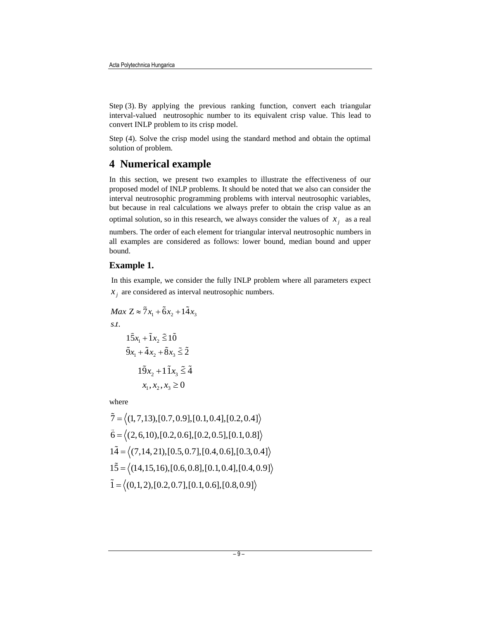Step (3). By applying the previous ranking function, convert each triangular interval-valued neutrosophic number to its equivalent crisp value. This lead to convert INLP problem to its crisp model.

Step (4). Solve the crisp model using the standard method and obtain the optimal solution of problem.

### **4 Numerical example**

In this section, we present two examples to illustrate the effectiveness of our proposed model of INLP problems. It should be noted that we also can consider the interval neutrosophic programming problems with interval neutrosophic variables, but because in real calculations we always prefer to obtain the crisp value as an

optimal solution, so in this research, we always consider the values of  $x_j$  as a real

numbers. The order of each element for triangular interval neutrosophic numbers in all examples are considered as follows: lower bound, median bound and upper bound.

#### **Example 1.**

In this example, we consider the fully INLP problem where all parameters expect  $x_j$  are considered as interval neutrosophic numbers.

$$
Max Z \approx \tilde{7}x_1 + \tilde{6}x_2 + 14x_3
$$
  
s.t.  

$$
15x_1 + 1x_2 \le 10
$$
  

$$
9x_1 + 4x_2 + 8x_3 \le 2
$$
  

$$
19x_2 + 11x_3 \le 4
$$
  

$$
x_1, x_2, x_3 \ge 0
$$

where

$$
\tilde{7} = \langle (1, 7, 13), [0.7, 0.9], [0.1, 0.4], [0.2, 0.4] \rangle
$$
  
\n
$$
\tilde{6} = \langle (2, 6, 10), [0.2, 0.6], [0.2, 0.5], [0.1, 0.8] \rangle
$$
  
\n
$$
1\tilde{4} = \langle (7, 14, 21), [0.5, 0.7], [0.4, 0.6], [0.3, 0.4] \rangle
$$
  
\n
$$
1\tilde{5} = \langle (14, 15, 16), [0.6, 0.8], [0.1, 0.4], [0.4, 0.9] \rangle
$$
  
\n
$$
\tilde{1} = \langle (0, 1, 2), [0.2, 0.7], [0.1, 0.6], [0.8, 0.9] \rangle
$$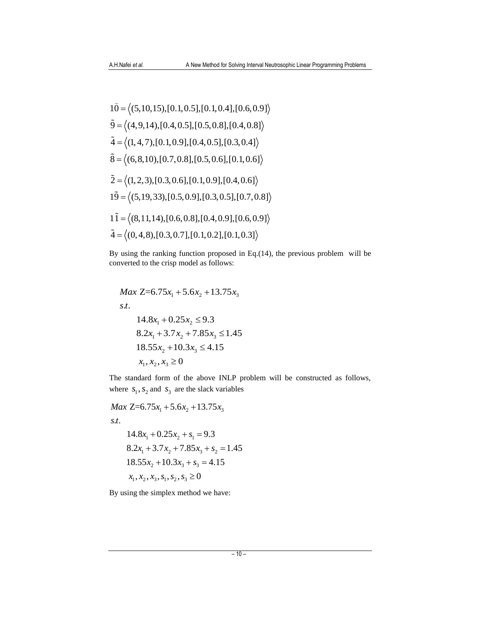$$
10 = \langle (5, 10, 15), [0.1, 0.5], [0.1, 0.4], [0.6, 0.9] \rangle
$$
  
\n
$$
\tilde{9} = \langle (4, 9, 14), [0.4, 0.5], [0.5, 0.8], [0.4, 0.8] \rangle
$$
  
\n
$$
\tilde{4} = \langle (1, 4, 7), [0.1, 0.9], [0.4, 0.5], [0.3, 0.4] \rangle
$$
  
\n
$$
\tilde{8} = \langle (6, 8, 10), [0.7, 0.8], [0.5, 0.6], [0.1, 0.6] \rangle
$$
  
\n
$$
\tilde{2} = \langle (1, 2, 3), [0.3, 0.6], [0.1, 0.9], [0.4, 0.6] \rangle
$$
  
\n
$$
10 = \langle (5, 19, 33), [0.5, 0.9], [0.3, 0.5], [0.7, 0.8] \rangle
$$
  
\n
$$
11 = \langle (8, 11, 14), [0.6, 0.8], [0.4, 0.9], [0.6, 0.9] \rangle
$$
  
\n
$$
\tilde{4} = \langle (0, 4, 8), [0.3, 0.7], [0.1, 0.2], [0.1, 0.3] \rangle
$$

By using the ranking function proposed in Eq.(14), the previous problem will be converted to the crisp model as follows:

*Max* Z=6.75 $x_1 + 5.6x_2 + 13.75x_3$  $14.8x_1 + 0.25x_2 \leq 9.3$  $8.2x_1 + 3.7x_2 + 7.85x_3 \le 1.45$  $18.55x_2 + 10.3x_3 \le 4.15$  $x_1, x_2, x_3 \ge 0$ . . *s t*

The standard form of the above INLP problem will be constructed as follows, where  $S_1$ ,  $S_2$  and  $S_3$  are the slack variables

*Max*  $Z=6.75x_1 + 5.6x_2 + 13.75x_3$  $14.8x_1 + 0.25x_2 + s_1 = 9.3$  $8.2x_1 + 3.7x_2 + 7.85x_3 + s_2 = 1.45$  $18.55x_2 + 10.3x_3 + s_3 = 4.15$  $x_1, x_2, x_3, s_1, s_2, s_3 \ge 0$ . . *s t*

By using the simplex method we have: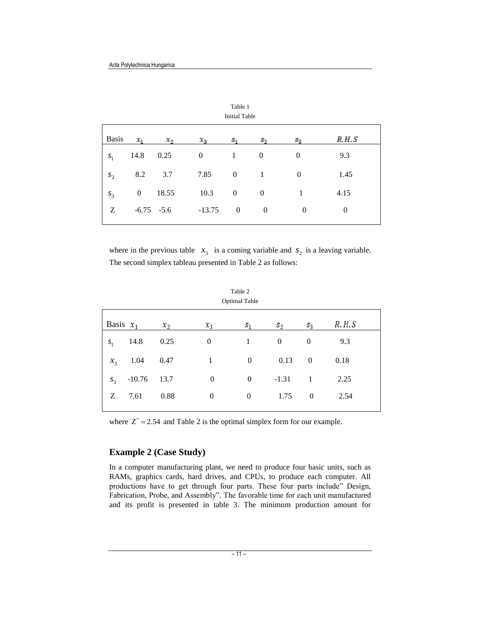| Basis $x_1$    |           | $\mathcal{X}_2$ | $x_{2}$                                      | $S_1$ | $S_{2}$        | $S_{2}$      | R.H.S |  |
|----------------|-----------|-----------------|----------------------------------------------|-------|----------------|--------------|-------|--|
| $S_1$          | 14.8 0.25 |                 | $\begin{array}{ccc} & & 0 & & 1 \end{array}$ |       | $\overline{0}$ | $\Omega$     | 9.3   |  |
| s <sub>2</sub> |           |                 | 8.2 3.7 7.85 0 1                             |       |                | $\mathbf{0}$ | 1.45  |  |
| $S_3$          |           |                 | 0 18.55 10.3 0 0                             |       |                |              | 4.15  |  |
| Z              |           |                 | $-6.75$ $-5.6$ $-13.75$ 0 0                  |       |                | $\Omega$     | 0     |  |

Table 1 Initial Table

where in the previous table  $x_3$  is a coming variable and  $s_2$  is a leaving variable. The second simplex tableau presented in Table 2 as follows:

Table 2 Optimal Table

| Opunial Table |               |       |                  |                |                |                |       |
|---------------|---------------|-------|------------------|----------------|----------------|----------------|-------|
|               | Basis $x_1$   | $x_2$ | $x_3$            | $S_{1}$        | $s_2$          | $s_3$          | R.H.S |
| $S_1$         | 14.8          | 0.25  | $\boldsymbol{0}$ | 1              | $\overline{0}$ | $\overline{0}$ | 9.3   |
| $x_{3}$       | 1.04          | 0.47  | $\sim$ 1         | $\overline{0}$ | 0.13           | $\overline{0}$ | 0.18  |
| $S_3$         | $-10.76$ 13.7 |       | $\boldsymbol{0}$ | $\overline{0}$ | $-1.31$        | $\overline{1}$ | 2.25  |
| Ζ             | 7.61          | 0.88  | $\mathbf{0}$     | $\theta$       | 1.75           | $\theta$       | 2.54  |
|               |               |       |                  |                |                |                |       |

where  $Z^* = 2.54$  and Table 2 is the optimal simplex form for our example.

### **Example 2 (Case Study)**

In a computer manufacturing plant, we need to produce four basic units, such as RAMs, graphics cards, hard drives, and CPUs, to produce each computer. All productions have to get through four parts. These four parts include" Design, Fabrication, Probe, and Assembly". The favorable time for each unit manufactured and its profit is presented in table 3. The minimum production amount for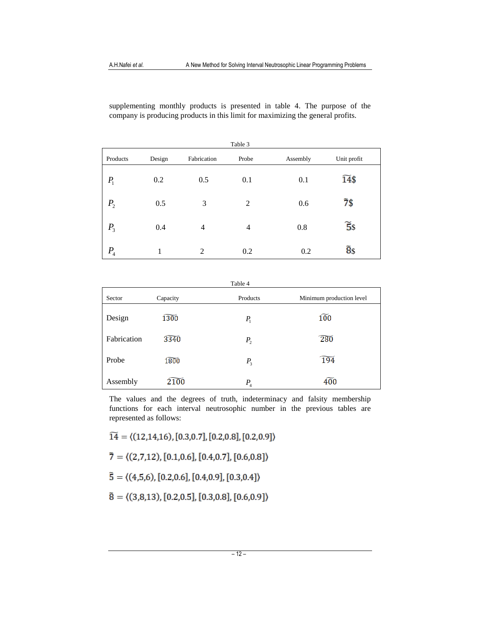|          |        |                | Table 3 |          |                     |
|----------|--------|----------------|---------|----------|---------------------|
| Products | Design | Fabrication    | Probe   | Assembly | Unit profit         |
| $P_{1}$  | 0.2    | 0.5            | 0.1     | 0.1      | $\widetilde{14}$ \$ |
| $P_{2}$  | 0.5    | 3              | 2       | 0.6      | 7\$                 |
| $P_3$    | 0.4    | 4              | 4       | 0.8      | $\widetilde{5}$ \$  |
| $P_{4}$  | 1      | $\overline{2}$ | 0.2     | 0.2      | $\tilde{8}$ \$      |

supplementing monthly products is presented in table 4. The purpose of the company is producing products in this limit for maximizing the general profits.

Table 4

| Sector      | Capacity | Products       | Minimum production level |
|-------------|----------|----------------|--------------------------|
| Design      | 1300     | $P_{1}$        | 100                      |
| Fabrication | 3340     | P <sub>2</sub> | 280                      |
| Probe       | 1800     | $P_{3}$        | 194                      |
| Assembly    | 2100     | $P_{4}$        | $\sqrt{400}$             |

The values and the degrees of truth, indeterminacy and falsity membership functions for each interval neutrosophic number in the previous tables are represented as follows:

 $\widetilde{14} = \langle (12,14,16), [0.3,0.7], [0.2,0.8], [0.2,0.9] \rangle$ 

 $\tilde{7} = \langle (2,7,12), [0.1,0.6], [0.4,0.7], [0.6,0.8] \rangle$ 

 $\tilde{5} = \langle (4,5,6), [0.2,0.6], [0.4,0.9], [0.3,0.4] \rangle$ 

$$
\tilde{8} = \langle (3,8,13), [0.2,0.5], [0.3,0.8], [0.6,0.9] \rangle
$$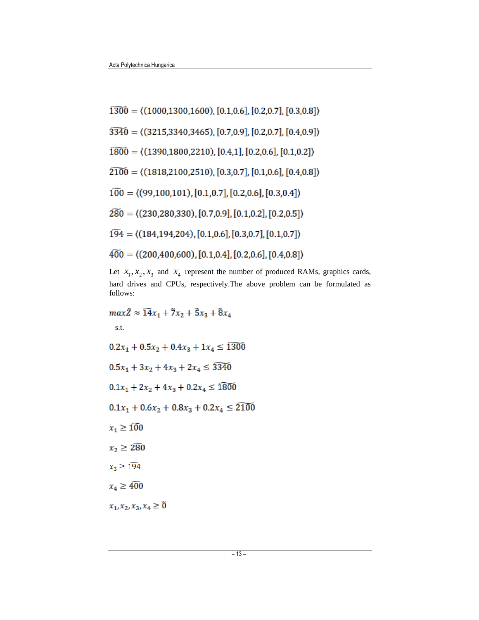$$
\begin{aligned}\n\overline{1300} &= \langle (1000, 1300, 1600), [0.1, 0.6], [0.2, 0.7], [0.3, 0.8] \rangle \\
\overline{3340} &= \langle (3215, 3340, 3465), [0.7, 0.9], [0.2, 0.7], [0.4, 0.9] \rangle \\
\overline{1800} &= \langle (1390, 1800, 2210), [0.4, 1], [0.2, 0.6], [0.1, 0.2] \rangle \\
\overline{2100} &= \langle (1818, 2100, 2510), [0.3, 0.7], [0.1, 0.6], [0.4, 0.8] \rangle \\
\overline{100} &= \langle (99, 100, 101), [0.1, 0.7], [0.2, 0.6], [0.3, 0.4] \rangle \\
\overline{280} &= \langle (230, 280, 330), [0.7, 0.9], [0.1, 0.2], [0.2, 0.5] \rangle \\
\overline{194} &= \langle (184, 194, 204), [0.1, 0.6], [0.3, 0.7], [0.1, 0.7] \rangle \\
\overline{400} &= \langle (200, 400, 600), [0.1, 0.4], [0.2, 0.6], [0.4, 0.8] \rangle\n\end{aligned}
$$

Let  $x_1, x_2, x_3$  and  $x_4$  represent the number of produced RAMs, graphics cards, hard drives and CPUs, respectively.The above problem can be formulated as follows:

$$
max\tilde{Z} \approx \tilde{14}x_1 + \tilde{7}x_2 + \tilde{5}x_3 + \tilde{8}x_4
$$
  
s.t.  
0.2x<sub>1</sub> + 0.5x<sub>2</sub> + 0.4x<sub>3</sub> + 1x<sub>4</sub>  $\leq$  1300  

$$
0.5x_1 + 3x_2 + 4x_3 + 2x_4 \leq 3340
$$

$$
0.1x_1 + 2x_2 + 4x_3 + 0.2x_4 \leq 1800
$$

$$
0.1x_1 + 0.6x_2 + 0.8x_3 + 0.2x_4 \leq 2100
$$

$$
x_1 \geq 100
$$

$$
x_2 \geq 280
$$

$$
x_3 \geq 194
$$

$$
x_4 \geq 400
$$

$$
x_1, x_2, x_3, x_4 \geq 0
$$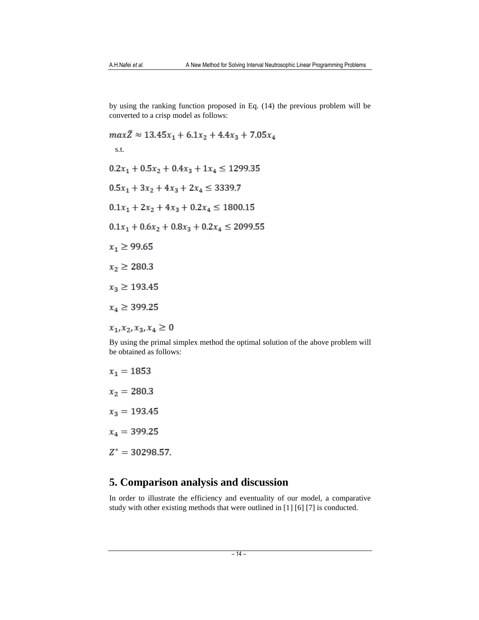by using the ranking function proposed in Eq. (14) the previous problem will be converted to a crisp model as follows:

 $max\tilde{Z} \approx 13.45x_1 + 6.1x_2 + 4.4x_3 + 7.05x_4$  s.t.  $0.2x_1 + 0.5x_2 + 0.4x_3 + 1x_4 \le 1299.35$  $0.5x_1 + 3x_2 + 4x_3 + 2x_4 \le 3339.7$  $0.1x_1 + 2x_2 + 4x_3 + 0.2x_4 \le 1800.15$  $0.1x_1 + 0.6x_2 + 0.8x_3 + 0.2x_4 \le 2099.55$  $x_1 \ge 99.65$  $x_2 \ge 280.3$  $x_3 \ge 193.45$  $x_4 \ge 399.25$  $x_1, x_2, x_3, x_4 \geq 0$ 

By using the primal simplex method the optimal solution of the above problem will be obtained as follows:

 $x_1 = 1853$  $x_2 = 280.3$  $x_3 = 193.45$ 

 $x_4 = 399.25$ 

 $Z^* = 30298.57.$ 

### **5. Comparison analysis and discussion**

In order to illustrate the efficiency and eventuality of our model, a comparative study with other existing methods that were outlined in [1] [6] [7] is conducted.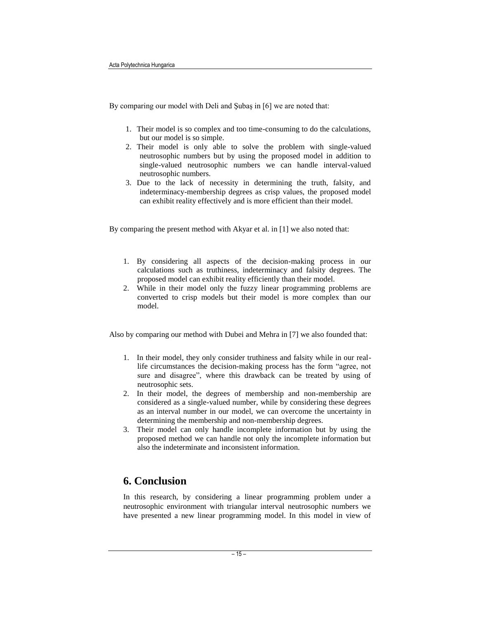By comparing our model with Deli and Şubaş in [6] we are noted that:

- 1. Their model is so complex and too time-consuming to do the calculations, but our model is so simple.
- 2. Their model is only able to solve the problem with single-valued neutrosophic numbers but by using the proposed model in addition to single-valued neutrosophic numbers we can handle interval-valued neutrosophic numbers.
- 3. Due to the lack of necessity in determining the truth, falsity, and indeterminacy-membership degrees as crisp values, the proposed model can exhibit reality effectively and is more efficient than their model.

By comparing the present method with Akyar et al. in [1] we also noted that:

- 1. By considering all aspects of the decision-making process in our calculations such as truthiness, indeterminacy and falsity degrees. The proposed model can exhibit reality efficiently than their model.
- 2. While in their model only the fuzzy linear programming problems are converted to crisp models but their model is more complex than our model.

Also by comparing our method with Dubei and Mehra in [7] we also founded that:

- 1. In their model, they only consider truthiness and falsity while in our reallife circumstances the decision-making process has the form "agree, not sure and disagree", where this drawback can be treated by using of neutrosophic sets.
- 2. In their model, the degrees of membership and non-membership are considered as a single-valued number, while by considering these degrees as an interval number in our model, we can overcome the uncertainty in determining the membership and non-membership degrees.
- 3. Their model can only handle incomplete information but by using the proposed method we can handle not only the incomplete information but also the indeterminate and inconsistent information.

### **6. Conclusion**

In this research, by considering a linear programming problem under a neutrosophic environment with triangular interval neutrosophic numbers we have presented a new linear programming model. In this model in view of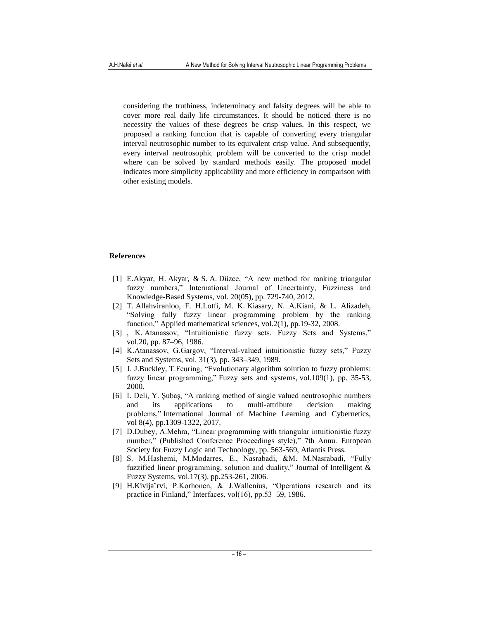considering the truthiness, indeterminacy and falsity degrees will be able to cover more real daily life circumstances. It should be noticed there is no necessity the values of these degrees be crisp values. In this respect, we proposed a ranking function that is capable of converting every triangular interval neutrosophic number to its equivalent crisp value. And subsequently, every interval neutrosophic problem will be converted to the crisp model where can be solved by standard methods easily. The proposed model indicates more simplicity applicability and more efficiency in comparison with other existing models.

#### **References**

- [1] E.Akyar, H. Akyar, & S. A. Düzce, "A new method for ranking triangular fuzzy numbers," International Journal of Uncertainty, Fuzziness and Knowledge-Based Systems, vol. 20(05), pp. 729-740, 2012.
- [2] T. Allahviranloo, F. H.Lotfi, M. K. Kiasary, N. A.Kiani, & L. Alizadeh, "Solving fully fuzzy linear programming problem by the ranking function," Applied mathematical sciences, vol.2(1), pp.19-32, 2008.
- [3] , K. Atanassov, "Intuitionistic fuzzy sets. Fuzzy Sets and Systems," vol.20, pp. 87–96, 1986.
- [4] K.Atanassov, G.Gargov, "Interval-valued intuitionistic fuzzy sets," Fuzzy Sets and Systems, vol. 31(3), pp. 343–349, 1989.
- [5] J. J.Buckley, T.Feuring, "Evolutionary algorithm solution to fuzzy problems: fuzzy linear programming," Fuzzy sets and systems, vol.109(1), pp. 35-53, 2000.
- [6] I. Deli, Y. Şubaş, "A ranking method of single valued neutrosophic numbers and its applications to multi-attribute decision making problems," International Journal of Machine Learning and Cybernetics, vol 8(4), pp.1309-1322, 2017.
- [7] D.Dubey, A.Mehra, "Linear programming with triangular intuitionistic fuzzy number," (Published Conference Proceedings style)," 7th Annu. European Society for Fuzzy Logic and Technology, pp. 563-569, Atlantis Press.
- [8] S. M.Hashemi, M.Modarres, E., Nasrabadi, &M. M.Nasrabadi, "Fully fuzzified linear programming, solution and duality," Journal of Intelligent & Fuzzy Systems, vol.17(3), pp.253-261, 2006.
- [9] H.Kivija¨rvi, P.Korhonen, & J.Wallenius, "Operations research and its practice in Finland," Interfaces, vol(16), pp.53–59, 1986.